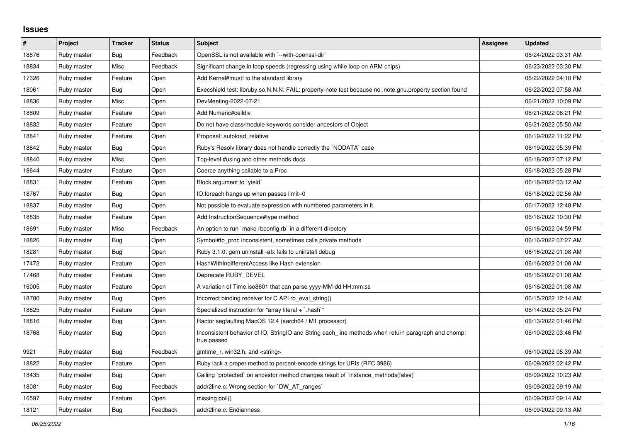## **Issues**

| #     | Project     | <b>Tracker</b> | <b>Status</b> | <b>Subject</b>                                                                                                     | Assignee | <b>Updated</b>      |
|-------|-------------|----------------|---------------|--------------------------------------------------------------------------------------------------------------------|----------|---------------------|
| 18876 | Ruby master | Bug            | Feedback      | OpenSSL is not available with `--with-openssl-dir`                                                                 |          | 06/24/2022 03:31 AM |
| 18834 | Ruby master | Misc           | Feedback      | Significant change in loop speeds (regressing using while loop on ARM chips)                                       |          | 06/23/2022 03:30 PM |
| 17326 | Ruby master | Feature        | Open          | Add Kernel#must! to the standard library                                                                           |          | 06/22/2022 04:10 PM |
| 18061 | Ruby master | <b>Bug</b>     | Open          | Execshield test: libruby.so.N.N.N: FAIL: property-note test because no .note.gnu.property section found            |          | 06/22/2022 07:58 AM |
| 18836 | Ruby master | Misc           | Open          | DevMeeting-2022-07-21                                                                                              |          | 06/21/2022 10:09 PM |
| 18809 | Ruby master | Feature        | Open          | Add Numeric#ceildiv                                                                                                |          | 06/21/2022 06:21 PM |
| 18832 | Ruby master | Feature        | Open          | Do not have class/module keywords consider ancestors of Object                                                     |          | 06/21/2022 05:50 AM |
| 18841 | Ruby master | Feature        | Open          | Proposal: autoload_relative                                                                                        |          | 06/19/2022 11:22 PM |
| 18842 | Ruby master | Bug            | Open          | Ruby's Resolv library does not handle correctly the `NODATA` case                                                  |          | 06/19/2022 05:39 PM |
| 18840 | Ruby master | Misc           | Open          | Top-level #using and other methods docs                                                                            |          | 06/18/2022 07:12 PM |
| 18644 | Ruby master | Feature        | Open          | Coerce anything callable to a Proc                                                                                 |          | 06/18/2022 05:28 PM |
| 18831 | Ruby master | Feature        | Open          | Block argument to `yield`                                                                                          |          | 06/18/2022 03:12 AM |
| 18767 | Ruby master | Bug            | Open          | IO.foreach hangs up when passes limit=0                                                                            |          | 06/18/2022 02:56 AM |
| 18837 | Ruby master | Bug            | Open          | Not possible to evaluate expression with numbered parameters in it                                                 |          | 06/17/2022 12:48 PM |
| 18835 | Ruby master | Feature        | Open          | Add InstructionSequence#type method                                                                                |          | 06/16/2022 10:30 PM |
| 18691 | Ruby master | Misc           | Feedback      | An option to run `make rbconfig.rb` in a different directory                                                       |          | 06/16/2022 04:59 PM |
| 18826 | Ruby master | <b>Bug</b>     | Open          | Symbol#to_proc inconsistent, sometimes calls private methods                                                       |          | 06/16/2022 07:27 AM |
| 18281 | Ruby master | <b>Bug</b>     | Open          | Ruby 3.1.0: gem uninstall -alx fails to uninstall debug                                                            |          | 06/16/2022 01:08 AM |
| 17472 | Ruby master | Feature        | Open          | HashWithIndifferentAccess like Hash extension                                                                      |          | 06/16/2022 01:08 AM |
| 17468 | Ruby master | Feature        | Open          | Deprecate RUBY DEVEL                                                                                               |          | 06/16/2022 01:08 AM |
| 16005 | Ruby master | Feature        | Open          | A variation of Time.iso8601 that can parse yyyy-MM-dd HH:mm:ss                                                     |          | 06/16/2022 01:08 AM |
| 18780 | Ruby master | Bug            | Open          | Incorrect binding receiver for C API rb_eval_string()                                                              |          | 06/15/2022 12:14 AM |
| 18825 | Ruby master | Feature        | Open          | Specialized instruction for "array literal + `.hash`"                                                              |          | 06/14/2022 05:24 PM |
| 18816 | Ruby master | Bug            | Open          | Ractor segfaulting MacOS 12.4 (aarch64 / M1 processor)                                                             |          | 06/13/2022 01:46 PM |
| 18768 | Ruby master | <b>Bug</b>     | Open          | Inconsistent behavior of IO, StringIO and String each_line methods when return paragraph and chomp:<br>true passed |          | 06/10/2022 03:46 PM |
| 9921  | Ruby master | Bug            | Feedback      | gmtime_r, win32.h, and <string></string>                                                                           |          | 06/10/2022 05:39 AM |
| 18822 | Ruby master | Feature        | Open          | Ruby lack a proper method to percent-encode strings for URIs (RFC 3986)                                            |          | 06/09/2022 02:42 PM |
| 18435 | Ruby master | <b>Bug</b>     | Open          | Calling `protected` on ancestor method changes result of `instance methods(false)`                                 |          | 06/09/2022 10:23 AM |
| 18081 | Ruby master | <b>Bug</b>     | Feedback      | addr2line.c: Wrong section for `DW AT ranges`                                                                      |          | 06/09/2022 09:19 AM |
| 16597 | Ruby master | Feature        | Open          | missing poll()                                                                                                     |          | 06/09/2022 09:14 AM |
| 18121 | Ruby master | Bug            | Feedback      | addr2line.c: Endianness                                                                                            |          | 06/09/2022 09:13 AM |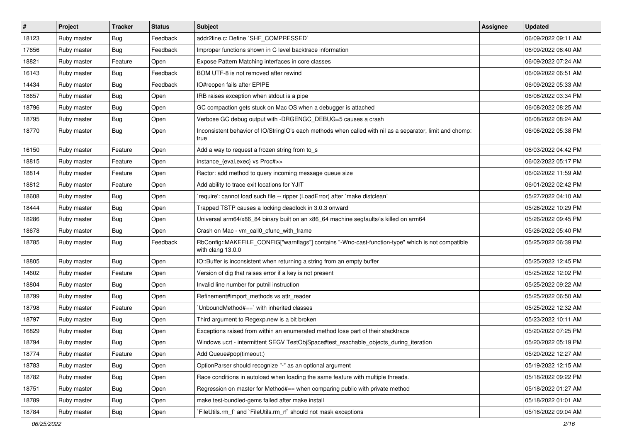| $\vert$ # | Project     | <b>Tracker</b> | <b>Status</b> | <b>Subject</b>                                                                                                         | Assignee | <b>Updated</b>      |
|-----------|-------------|----------------|---------------|------------------------------------------------------------------------------------------------------------------------|----------|---------------------|
| 18123     | Ruby master | <b>Bug</b>     | Feedback      | addr2line.c: Define `SHF_COMPRESSED`                                                                                   |          | 06/09/2022 09:11 AM |
| 17656     | Ruby master | Bug            | Feedback      | Improper functions shown in C level backtrace information                                                              |          | 06/09/2022 08:40 AM |
| 18821     | Ruby master | Feature        | Open          | Expose Pattern Matching interfaces in core classes                                                                     |          | 06/09/2022 07:24 AM |
| 16143     | Ruby master | Bug            | Feedback      | BOM UTF-8 is not removed after rewind                                                                                  |          | 06/09/2022 06:51 AM |
| 14434     | Ruby master | Bug            | Feedback      | IO#reopen fails after EPIPE                                                                                            |          | 06/09/2022 05:33 AM |
| 18657     | Ruby master | <b>Bug</b>     | Open          | IRB raises exception when stdout is a pipe                                                                             |          | 06/08/2022 03:34 PM |
| 18796     | Ruby master | <b>Bug</b>     | Open          | GC compaction gets stuck on Mac OS when a debugger is attached                                                         |          | 06/08/2022 08:25 AM |
| 18795     | Ruby master | <b>Bug</b>     | Open          | Verbose GC debug output with -DRGENGC DEBUG=5 causes a crash                                                           |          | 06/08/2022 08:24 AM |
| 18770     | Ruby master | Bug            | Open          | Inconsistent behavior of IO/StringIO's each methods when called with nil as a separator, limit and chomp:<br>true      |          | 06/06/2022 05:38 PM |
| 16150     | Ruby master | Feature        | Open          | Add a way to request a frozen string from to_s                                                                         |          | 06/03/2022 04:42 PM |
| 18815     | Ruby master | Feature        | Open          | instance_{eval,exec} vs Proc#>>                                                                                        |          | 06/02/2022 05:17 PM |
| 18814     | Ruby master | Feature        | Open          | Ractor: add method to query incoming message queue size                                                                |          | 06/02/2022 11:59 AM |
| 18812     | Ruby master | Feature        | Open          | Add ability to trace exit locations for YJIT                                                                           |          | 06/01/2022 02:42 PM |
| 18608     | Ruby master | Bug            | Open          | 'require': cannot load such file -- ripper (LoadError) after 'make distclean'                                          |          | 05/27/2022 04:10 AM |
| 18444     | Ruby master | <b>Bug</b>     | Open          | Trapped TSTP causes a locking deadlock in 3.0.3 onward                                                                 |          | 05/26/2022 10:29 PM |
| 18286     | Ruby master | Bug            | Open          | Universal arm64/x86_84 binary built on an x86_64 machine segfaults/is killed on arm64                                  |          | 05/26/2022 09:45 PM |
| 18678     | Ruby master | <b>Bug</b>     | Open          | Crash on Mac - vm_call0_cfunc_with_frame                                                                               |          | 05/26/2022 05:40 PM |
| 18785     | Ruby master | Bug            | Feedback      | RbConfig::MAKEFILE_CONFIG["warnflags"] contains "-Wno-cast-function-type" which is not compatible<br>with clang 13.0.0 |          | 05/25/2022 06:39 PM |
| 18805     | Ruby master | <b>Bug</b>     | Open          | IO::Buffer is inconsistent when returning a string from an empty buffer                                                |          | 05/25/2022 12:45 PM |
| 14602     | Ruby master | Feature        | Open          | Version of dig that raises error if a key is not present                                                               |          | 05/25/2022 12:02 PM |
| 18804     | Ruby master | <b>Bug</b>     | Open          | Invalid line number for putnil instruction                                                                             |          | 05/25/2022 09:22 AM |
| 18799     | Ruby master | Bug            | Open          | Refinement#import_methods vs attr_reader                                                                               |          | 05/25/2022 06:50 AM |
| 18798     | Ruby master | Feature        | Open          | 'UnboundMethod#==' with inherited classes                                                                              |          | 05/25/2022 12:32 AM |
| 18797     | Ruby master | <b>Bug</b>     | Open          | Third argument to Regexp.new is a bit broken                                                                           |          | 05/23/2022 10:11 AM |
| 16829     | Ruby master | Bug            | Open          | Exceptions raised from within an enumerated method lose part of their stacktrace                                       |          | 05/20/2022 07:25 PM |
| 18794     | Ruby master | <b>Bug</b>     | Open          | Windows ucrt - intermittent SEGV TestObjSpace#test_reachable_objects_during_iteration                                  |          | 05/20/2022 05:19 PM |
| 18774     | Ruby master | Feature        | Open          | Add Queue#pop(timeout:)                                                                                                |          | 05/20/2022 12:27 AM |
| 18783     | Ruby master | <b>Bug</b>     | Open          | OptionParser should recognize "-" as an optional argument                                                              |          | 05/19/2022 12:15 AM |
| 18782     | Ruby master | <b>Bug</b>     | Open          | Race conditions in autoload when loading the same feature with multiple threads.                                       |          | 05/18/2022 09:22 PM |
| 18751     | Ruby master | <b>Bug</b>     | Open          | Regression on master for Method#== when comparing public with private method                                           |          | 05/18/2022 01:27 AM |
| 18789     | Ruby master | <b>Bug</b>     | Open          | make test-bundled-gems failed after make install                                                                       |          | 05/18/2022 01:01 AM |
| 18784     | Ruby master | Bug            | Open          | FileUtils.rm_f`and `FileUtils.rm_rf` should not mask exceptions                                                        |          | 05/16/2022 09:04 AM |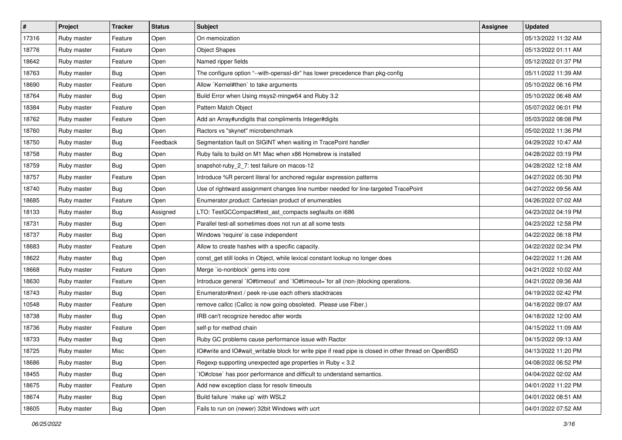| $\sharp$ | Project     | <b>Tracker</b>   | <b>Status</b> | <b>Subject</b>                                                                                       | Assignee | <b>Updated</b>      |
|----------|-------------|------------------|---------------|------------------------------------------------------------------------------------------------------|----------|---------------------|
| 17316    | Ruby master | Feature          | Open          | On memoization                                                                                       |          | 05/13/2022 11:32 AM |
| 18776    | Ruby master | Feature          | Open          | <b>Object Shapes</b>                                                                                 |          | 05/13/2022 01:11 AM |
| 18642    | Ruby master | Feature          | Open          | Named ripper fields                                                                                  |          | 05/12/2022 01:37 PM |
| 18763    | Ruby master | Bug              | Open          | The configure option "--with-openssl-dir" has lower precedence than pkg-config                       |          | 05/11/2022 11:39 AM |
| 18690    | Ruby master | Feature          | Open          | Allow `Kernel#then` to take arguments                                                                |          | 05/10/2022 06:16 PM |
| 18764    | Ruby master | Bug              | Open          | Build Error when Using msys2-mingw64 and Ruby 3.2                                                    |          | 05/10/2022 06:48 AM |
| 18384    | Ruby master | Feature          | Open          | Pattern Match Object                                                                                 |          | 05/07/2022 06:01 PM |
| 18762    | Ruby master | Feature          | Open          | Add an Array#undigits that compliments Integer#digits                                                |          | 05/03/2022 08:08 PM |
| 18760    | Ruby master | Bug              | Open          | Ractors vs "skynet" microbenchmark                                                                   |          | 05/02/2022 11:36 PM |
| 18750    | Ruby master | <b>Bug</b>       | Feedback      | Segmentation fault on SIGINT when waiting in TracePoint handler                                      |          | 04/29/2022 10:47 AM |
| 18758    | Ruby master | <b>Bug</b>       | Open          | Ruby fails to build on M1 Mac when x86 Homebrew is installed                                         |          | 04/28/2022 03:19 PM |
| 18759    | Ruby master | Bug              | Open          | snapshot-ruby_2_7: test failure on macos-12                                                          |          | 04/28/2022 12:18 AM |
| 18757    | Ruby master | Feature          | Open          | Introduce %R percent literal for anchored regular expression patterns                                |          | 04/27/2022 05:30 PM |
| 18740    | Ruby master | Bug              | Open          | Use of rightward assignment changes line number needed for line-targeted TracePoint                  |          | 04/27/2022 09:56 AM |
| 18685    | Ruby master | Feature          | Open          | Enumerator.product: Cartesian product of enumerables                                                 |          | 04/26/2022 07:02 AM |
| 18133    | Ruby master | <b>Bug</b>       | Assigned      | LTO: TestGCCompact#test_ast_compacts segfaults on i686                                               |          | 04/23/2022 04:19 PM |
| 18731    | Ruby master | <b>Bug</b>       | Open          | Parallel test-all sometimes does not run at all some tests                                           |          | 04/23/2022 12:58 PM |
| 18737    | Ruby master | Bug              | Open          | Windows 'require' is case independent                                                                |          | 04/22/2022 06:18 PM |
| 18683    | Ruby master | Feature          | Open          | Allow to create hashes with a specific capacity.                                                     |          | 04/22/2022 02:34 PM |
| 18622    | Ruby master | <b>Bug</b>       | Open          | const_get still looks in Object, while lexical constant lookup no longer does                        |          | 04/22/2022 11:26 AM |
| 18668    | Ruby master | Feature          | Open          | Merge `io-nonblock` gems into core                                                                   |          | 04/21/2022 10:02 AM |
| 18630    | Ruby master | Feature          | Open          | Introduce general `IO#timeout` and `IO#timeout=`for all (non-)blocking operations.                   |          | 04/21/2022 09:36 AM |
| 18743    | Ruby master | <b>Bug</b>       | Open          | Enumerator#next / peek re-use each others stacktraces                                                |          | 04/19/2022 02:42 PM |
| 10548    | Ruby master | Feature          | Open          | remove callcc (Callcc is now going obsoleted. Please use Fiber.)                                     |          | 04/18/2022 09:07 AM |
| 18738    | Ruby master | <b>Bug</b>       | Open          | IRB can't recognize heredoc after words                                                              |          | 04/18/2022 12:00 AM |
| 18736    | Ruby master | Feature          | Open          | self-p for method chain                                                                              |          | 04/15/2022 11:09 AM |
| 18733    | Ruby master | Bug              | Open          | Ruby GC problems cause performance issue with Ractor                                                 |          | 04/15/2022 09:13 AM |
| 18725    | Ruby master | Misc             | Open          | IO#write and IO#wait_writable block for write pipe if read pipe is closed in other thread on OpenBSD |          | 04/13/2022 11:20 PM |
| 18686    | Ruby master | Bug              | Open          | Regexp supporting unexpected age properties in Ruby < 3.2                                            |          | 04/08/2022 06:52 PM |
| 18455    | Ruby master | Bug              | Open          | IO#close` has poor performance and difficult to understand semantics.                                |          | 04/04/2022 02:02 AM |
| 18675    | Ruby master | Feature          | Open          | Add new exception class for resolv timeouts                                                          |          | 04/01/2022 11:22 PM |
| 18674    | Ruby master | Bug              | Open          | Build failure `make up` with WSL2                                                                    |          | 04/01/2022 08:51 AM |
| 18605    | Ruby master | <sub>I</sub> Bug | Open          | Fails to run on (newer) 32bit Windows with ucrt                                                      |          | 04/01/2022 07:52 AM |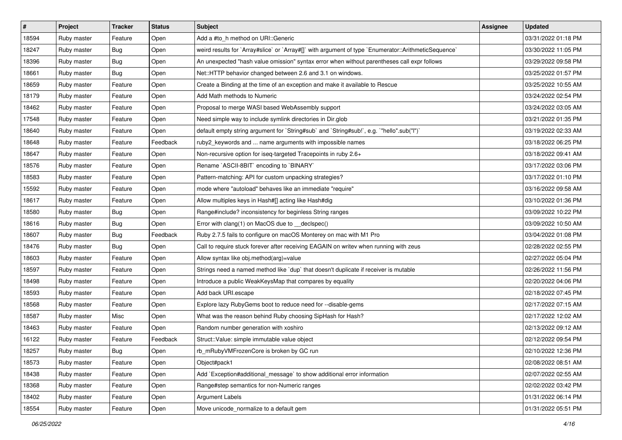| #     | Project     | <b>Tracker</b> | <b>Status</b> | <b>Subject</b>                                                                                       | Assignee | <b>Updated</b>      |
|-------|-------------|----------------|---------------|------------------------------------------------------------------------------------------------------|----------|---------------------|
| 18594 | Ruby master | Feature        | Open          | Add a #to h method on URI:: Generic                                                                  |          | 03/31/2022 01:18 PM |
| 18247 | Ruby master | Bug            | Open          | weird results for `Array#slice` or `Array#[]` with argument of type `Enumerator::ArithmeticSequence` |          | 03/30/2022 11:05 PM |
| 18396 | Ruby master | Bug            | Open          | An unexpected "hash value omission" syntax error when without parentheses call expr follows          |          | 03/29/2022 09:58 PM |
| 18661 | Ruby master | Bug            | Open          | Net::HTTP behavior changed between 2.6 and 3.1 on windows.                                           |          | 03/25/2022 01:57 PM |
| 18659 | Ruby master | Feature        | Open          | Create a Binding at the time of an exception and make it available to Rescue                         |          | 03/25/2022 10:55 AM |
| 18179 | Ruby master | Feature        | Open          | Add Math methods to Numeric                                                                          |          | 03/24/2022 02:54 PM |
| 18462 | Ruby master | Feature        | Open          | Proposal to merge WASI based WebAssembly support                                                     |          | 03/24/2022 03:05 AM |
| 17548 | Ruby master | Feature        | Open          | Need simple way to include symlink directories in Dir.glob                                           |          | 03/21/2022 01:35 PM |
| 18640 | Ruby master | Feature        | Open          | default empty string argument for `String#sub` and `String#sub!`, e.g. `"hello".sub("I")`            |          | 03/19/2022 02:33 AM |
| 18648 | Ruby master | Feature        | Feedback      | ruby2_keywords and  name arguments with impossible names                                             |          | 03/18/2022 06:25 PM |
| 18647 | Ruby master | Feature        | Open          | Non-recursive option for iseq-targeted Tracepoints in ruby 2.6+                                      |          | 03/18/2022 09:41 AM |
| 18576 | Ruby master | Feature        | Open          | Rename `ASCII-8BIT` encoding to `BINARY`                                                             |          | 03/17/2022 03:06 PM |
| 18583 | Ruby master | Feature        | Open          | Pattern-matching: API for custom unpacking strategies?                                               |          | 03/17/2022 01:10 PM |
| 15592 | Ruby master | Feature        | Open          | mode where "autoload" behaves like an immediate "require"                                            |          | 03/16/2022 09:58 AM |
| 18617 | Ruby master | Feature        | Open          | Allow multiples keys in Hash#[] acting like Hash#dig                                                 |          | 03/10/2022 01:36 PM |
| 18580 | Ruby master | Bug            | Open          | Range#include? inconsistency for beginless String ranges                                             |          | 03/09/2022 10:22 PM |
| 18616 | Ruby master | <b>Bug</b>     | Open          | Error with clang(1) on MacOS due to _declspec()                                                      |          | 03/09/2022 10:50 AM |
| 18607 | Ruby master | <b>Bug</b>     | Feedback      | Ruby 2.7.5 fails to configure on macOS Monterey on mac with M1 Pro                                   |          | 03/04/2022 01:08 PM |
| 18476 | Ruby master | <b>Bug</b>     | Open          | Call to require stuck forever after receiving EAGAIN on writev when running with zeus                |          | 02/28/2022 02:55 PM |
| 18603 | Ruby master | Feature        | Open          | Allow syntax like obj.method(arg)=value                                                              |          | 02/27/2022 05:04 PM |
| 18597 | Ruby master | Feature        | Open          | Strings need a named method like 'dup' that doesn't duplicate if receiver is mutable                 |          | 02/26/2022 11:56 PM |
| 18498 | Ruby master | Feature        | Open          | Introduce a public WeakKeysMap that compares by equality                                             |          | 02/20/2022 04:06 PM |
| 18593 | Ruby master | Feature        | Open          | Add back URI.escape                                                                                  |          | 02/18/2022 07:45 PM |
| 18568 | Ruby master | Feature        | Open          | Explore lazy RubyGems boot to reduce need for --disable-gems                                         |          | 02/17/2022 07:15 AM |
| 18587 | Ruby master | Misc           | Open          | What was the reason behind Ruby choosing SipHash for Hash?                                           |          | 02/17/2022 12:02 AM |
| 18463 | Ruby master | Feature        | Open          | Random number generation with xoshiro                                                                |          | 02/13/2022 09:12 AM |
| 16122 | Ruby master | Feature        | Feedback      | Struct::Value: simple immutable value object                                                         |          | 02/12/2022 09:54 PM |
| 18257 | Ruby master | Bug            | Open          | rb_mRubyVMFrozenCore is broken by GC run                                                             |          | 02/10/2022 12:36 PM |
| 18573 | Ruby master | Feature        | Open          | Object#pack1                                                                                         |          | 02/08/2022 08:51 AM |
| 18438 | Ruby master | Feature        | Open          | Add `Exception#additional_message` to show additional error information                              |          | 02/07/2022 02:55 AM |
| 18368 | Ruby master | Feature        | Open          | Range#step semantics for non-Numeric ranges                                                          |          | 02/02/2022 03:42 PM |
| 18402 | Ruby master | Feature        | Open          | Argument Labels                                                                                      |          | 01/31/2022 06:14 PM |
| 18554 | Ruby master | Feature        | Open          | Move unicode_normalize to a default gem                                                              |          | 01/31/2022 05:51 PM |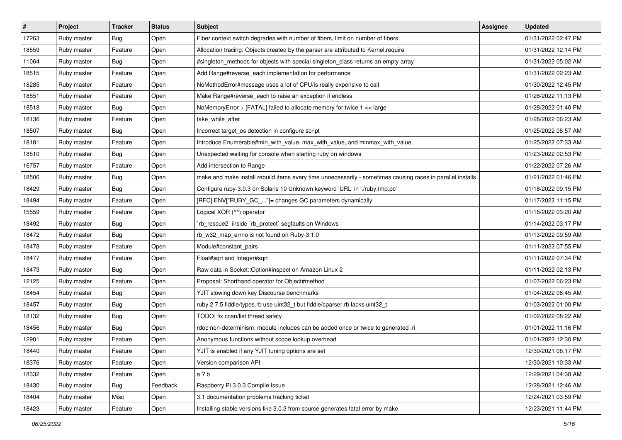| #     | Project     | <b>Tracker</b> | <b>Status</b> | Subject                                                                                                     | Assignee | <b>Updated</b>      |
|-------|-------------|----------------|---------------|-------------------------------------------------------------------------------------------------------------|----------|---------------------|
| 17263 | Ruby master | <b>Bug</b>     | Open          | Fiber context switch degrades with number of fibers, limit on number of fibers                              |          | 01/31/2022 02:47 PM |
| 18559 | Ruby master | Feature        | Open          | Allocation tracing: Objects created by the parser are attributed to Kernel.require                          |          | 01/31/2022 12:14 PM |
| 11064 | Ruby master | Bug            | Open          | #singleton_methods for objects with special singleton_class returns an empty array                          |          | 01/31/2022 05:02 AM |
| 18515 | Ruby master | Feature        | Open          | Add Range#reverse_each implementation for performance                                                       |          | 01/31/2022 02:23 AM |
| 18285 | Ruby master | Feature        | Open          | NoMethodError#message uses a lot of CPU/is really expensive to call                                         |          | 01/30/2022 12:45 PM |
| 18551 | Ruby master | Feature        | Open          | Make Range#reverse_each to raise an exception if endless                                                    |          | 01/28/2022 11:13 PM |
| 18518 | Ruby master | Bug            | Open          | NoMemoryError + [FATAL] failed to allocate memory for twice 1 << large                                      |          | 01/28/2022 01:40 PM |
| 18136 | Ruby master | Feature        | Open          | take_while_after                                                                                            |          | 01/28/2022 06:23 AM |
| 18507 | Ruby master | Bug            | Open          | Incorrect target_os detection in configure script                                                           |          | 01/25/2022 08:57 AM |
| 18181 | Ruby master | Feature        | Open          | Introduce Enumerable#min_with_value, max_with_value, and minmax_with_value                                  |          | 01/25/2022 07:33 AM |
| 18510 | Ruby master | <b>Bug</b>     | Open          | Unexpected waiting for console when starting ruby on windows                                                |          | 01/23/2022 02:53 PM |
| 16757 | Ruby master | Feature        | Open          | Add intersection to Range                                                                                   |          | 01/22/2022 07:26 AM |
| 18506 | Ruby master | <b>Bug</b>     | Open          | make and make install rebuild items every time unnecessarily - sometimes causing races in parallel installs |          | 01/21/2022 01:46 PM |
| 18429 | Ruby master | Bug            | Open          | Configure ruby-3.0.3 on Solaris 10 Unknown keyword 'URL' in './ruby.tmp.pc'                                 |          | 01/18/2022 09:15 PM |
| 18494 | Ruby master | Feature        | Open          | [RFC] ENV["RUBY_GC_"]= changes GC parameters dynamically                                                    |          | 01/17/2022 11:15 PM |
| 15559 | Ruby master | Feature        | Open          | Logical XOR (^^) operator                                                                                   |          | 01/16/2022 03:20 AM |
| 18492 | Ruby master | <b>Bug</b>     | Open          | 'rb_rescue2' inside 'rb_protect' segfaults on Windows                                                       |          | 01/14/2022 03:17 PM |
| 18472 | Ruby master | <b>Bug</b>     | Open          | rb_w32_map_errno is not found on Ruby-3.1.0                                                                 |          | 01/13/2022 09:59 AM |
| 18478 | Ruby master | Feature        | Open          | Module#constant_pairs                                                                                       |          | 01/11/2022 07:55 PM |
| 18477 | Ruby master | Feature        | Open          | Float#sqrt and Integer#sqrt                                                                                 |          | 01/11/2022 07:34 PM |
| 18473 | Ruby master | Bug            | Open          | Raw data in Socket:: Option#inspect on Amazon Linux 2                                                       |          | 01/11/2022 02:13 PM |
| 12125 | Ruby master | Feature        | Open          | Proposal: Shorthand operator for Object#method                                                              |          | 01/07/2022 06:23 PM |
| 18454 | Ruby master | <b>Bug</b>     | Open          | YJIT slowing down key Discourse benchmarks                                                                  |          | 01/04/2022 08:45 AM |
| 18457 | Ruby master | <b>Bug</b>     | Open          | ruby 2.7.5 fiddle/types.rb use uint32_t but fiddle/cparser.rb lacks uint32_t                                |          | 01/03/2022 01:00 PM |
| 18132 | Ruby master | Bug            | Open          | TODO: fix ccan/list thread safety                                                                           |          | 01/02/2022 08:22 AM |
| 18456 | Ruby master | Bug            | Open          | rdoc non-determinism: module includes can be added once or twice to generated .ri                           |          | 01/01/2022 11:16 PM |
| 12901 | Ruby master | Feature        | Open          | Anonymous functions without scope lookup overhead                                                           |          | 01/01/2022 12:30 PM |
| 18440 | Ruby master | Feature        | Open          | YJIT is enabled if any YJIT tuning options are set                                                          |          | 12/30/2021 08:17 PM |
| 18376 | Ruby master | Feature        | Open          | Version comparison API                                                                                      |          | 12/30/2021 10:33 AM |
| 18332 | Ruby master | Feature        | Open          | a ? b                                                                                                       |          | 12/29/2021 04:38 AM |
| 18430 | Ruby master | Bug            | Feedback      | Raspberry Pi 3.0.3 Compile Issue                                                                            |          | 12/28/2021 12:46 AM |
| 18404 | Ruby master | Misc           | Open          | 3.1 documentation problems tracking ticket                                                                  |          | 12/24/2021 03:59 PM |
| 18423 | Ruby master | Feature        | Open          | Installing stable versions like 3.0.3 from source generates fatal error by make                             |          | 12/23/2021 11:44 PM |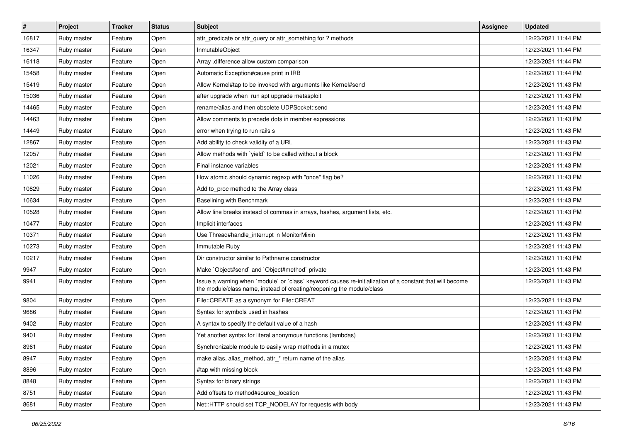| $\vert$ # | Project     | <b>Tracker</b> | <b>Status</b> | <b>Subject</b>                                                                                                                                                                    | <b>Assignee</b> | <b>Updated</b>      |
|-----------|-------------|----------------|---------------|-----------------------------------------------------------------------------------------------------------------------------------------------------------------------------------|-----------------|---------------------|
| 16817     | Ruby master | Feature        | Open          | attr_predicate or attr_query or attr_something for ? methods                                                                                                                      |                 | 12/23/2021 11:44 PM |
| 16347     | Ruby master | Feature        | Open          | InmutableObject                                                                                                                                                                   |                 | 12/23/2021 11:44 PM |
| 16118     | Ruby master | Feature        | Open          | Array .difference allow custom comparison                                                                                                                                         |                 | 12/23/2021 11:44 PM |
| 15458     | Ruby master | Feature        | Open          | Automatic Exception#cause print in IRB                                                                                                                                            |                 | 12/23/2021 11:44 PM |
| 15419     | Ruby master | Feature        | Open          | Allow Kernel#tap to be invoked with arguments like Kernel#send                                                                                                                    |                 | 12/23/2021 11:43 PM |
| 15036     | Ruby master | Feature        | Open          | after upgrade when run apt upgrade metasploit                                                                                                                                     |                 | 12/23/2021 11:43 PM |
| 14465     | Ruby master | Feature        | Open          | rename/alias and then obsolete UDPSocket::send                                                                                                                                    |                 | 12/23/2021 11:43 PM |
| 14463     | Ruby master | Feature        | Open          | Allow comments to precede dots in member expressions                                                                                                                              |                 | 12/23/2021 11:43 PM |
| 14449     | Ruby master | Feature        | Open          | error when trying to run rails s                                                                                                                                                  |                 | 12/23/2021 11:43 PM |
| 12867     | Ruby master | Feature        | Open          | Add ability to check validity of a URL                                                                                                                                            |                 | 12/23/2021 11:43 PM |
| 12057     | Ruby master | Feature        | Open          | Allow methods with `yield` to be called without a block                                                                                                                           |                 | 12/23/2021 11:43 PM |
| 12021     | Ruby master | Feature        | Open          | Final instance variables                                                                                                                                                          |                 | 12/23/2021 11:43 PM |
| 11026     | Ruby master | Feature        | Open          | How atomic should dynamic regexp with "once" flag be?                                                                                                                             |                 | 12/23/2021 11:43 PM |
| 10829     | Ruby master | Feature        | Open          | Add to_proc method to the Array class                                                                                                                                             |                 | 12/23/2021 11:43 PM |
| 10634     | Ruby master | Feature        | Open          | Baselining with Benchmark                                                                                                                                                         |                 | 12/23/2021 11:43 PM |
| 10528     | Ruby master | Feature        | Open          | Allow line breaks instead of commas in arrays, hashes, argument lists, etc.                                                                                                       |                 | 12/23/2021 11:43 PM |
| 10477     | Ruby master | Feature        | Open          | Implicit interfaces                                                                                                                                                               |                 | 12/23/2021 11:43 PM |
| 10371     | Ruby master | Feature        | Open          | Use Thread#handle_interrupt in MonitorMixin                                                                                                                                       |                 | 12/23/2021 11:43 PM |
| 10273     | Ruby master | Feature        | Open          | Immutable Ruby                                                                                                                                                                    |                 | 12/23/2021 11:43 PM |
| 10217     | Ruby master | Feature        | Open          | Dir constructor similar to Pathname constructor                                                                                                                                   |                 | 12/23/2021 11:43 PM |
| 9947      | Ruby master | Feature        | Open          | Make `Object#send` and `Object#method` private                                                                                                                                    |                 | 12/23/2021 11:43 PM |
| 9941      | Ruby master | Feature        | Open          | Issue a warning when `module` or `class` keyword causes re-initialization of a constant that will become<br>the module/class name, instead of creating/reopening the module/class |                 | 12/23/2021 11:43 PM |
| 9804      | Ruby master | Feature        | Open          | File::CREATE as a synonym for File::CREAT                                                                                                                                         |                 | 12/23/2021 11:43 PM |
| 9686      | Ruby master | Feature        | Open          | Syntax for symbols used in hashes                                                                                                                                                 |                 | 12/23/2021 11:43 PM |
| 9402      | Ruby master | Feature        | Open          | A syntax to specify the default value of a hash                                                                                                                                   |                 | 12/23/2021 11:43 PM |
| 9401      | Ruby master | Feature        | Open          | Yet another syntax for literal anonymous functions (lambdas)                                                                                                                      |                 | 12/23/2021 11:43 PM |
| 8961      | Ruby master | Feature        | Open          | Synchronizable module to easily wrap methods in a mutex                                                                                                                           |                 | 12/23/2021 11:43 PM |
| 8947      | Ruby master | Feature        | Open          | make alias, alias_method, attr_* return name of the alias                                                                                                                         |                 | 12/23/2021 11:43 PM |
| 8896      | Ruby master | Feature        | Open          | #tap with missing block                                                                                                                                                           |                 | 12/23/2021 11:43 PM |
| 8848      | Ruby master | Feature        | Open          | Syntax for binary strings                                                                                                                                                         |                 | 12/23/2021 11:43 PM |
| 8751      | Ruby master | Feature        | Open          | Add offsets to method#source_location                                                                                                                                             |                 | 12/23/2021 11:43 PM |
| 8681      | Ruby master | Feature        | Open          | Net::HTTP should set TCP NODELAY for requests with body                                                                                                                           |                 | 12/23/2021 11:43 PM |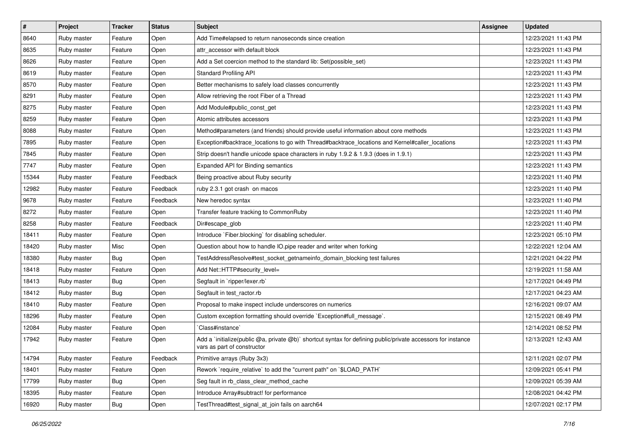| $\vert$ # | Project     | <b>Tracker</b> | <b>Status</b> | <b>Subject</b>                                                                                                                              | <b>Assignee</b> | <b>Updated</b>      |
|-----------|-------------|----------------|---------------|---------------------------------------------------------------------------------------------------------------------------------------------|-----------------|---------------------|
| 8640      | Ruby master | Feature        | Open          | Add Time#elapsed to return nanoseconds since creation                                                                                       |                 | 12/23/2021 11:43 PM |
| 8635      | Ruby master | Feature        | Open          | attr_accessor with default block                                                                                                            |                 | 12/23/2021 11:43 PM |
| 8626      | Ruby master | Feature        | Open          | Add a Set coercion method to the standard lib: Set(possible_set)                                                                            |                 | 12/23/2021 11:43 PM |
| 8619      | Ruby master | Feature        | Open          | <b>Standard Profiling API</b>                                                                                                               |                 | 12/23/2021 11:43 PM |
| 8570      | Ruby master | Feature        | Open          | Better mechanisms to safely load classes concurrently                                                                                       |                 | 12/23/2021 11:43 PM |
| 8291      | Ruby master | Feature        | Open          | Allow retrieving the root Fiber of a Thread                                                                                                 |                 | 12/23/2021 11:43 PM |
| 8275      | Ruby master | Feature        | Open          | Add Module#public_const_get                                                                                                                 |                 | 12/23/2021 11:43 PM |
| 8259      | Ruby master | Feature        | Open          | Atomic attributes accessors                                                                                                                 |                 | 12/23/2021 11:43 PM |
| 8088      | Ruby master | Feature        | Open          | Method#parameters (and friends) should provide useful information about core methods                                                        |                 | 12/23/2021 11:43 PM |
| 7895      | Ruby master | Feature        | Open          | Exception#backtrace_locations to go with Thread#backtrace_locations and Kernel#caller_locations                                             |                 | 12/23/2021 11:43 PM |
| 7845      | Ruby master | Feature        | Open          | Strip doesn't handle unicode space characters in ruby 1.9.2 & 1.9.3 (does in 1.9.1)                                                         |                 | 12/23/2021 11:43 PM |
| 7747      | Ruby master | Feature        | Open          | Expanded API for Binding semantics                                                                                                          |                 | 12/23/2021 11:43 PM |
| 15344     | Ruby master | Feature        | Feedback      | Being proactive about Ruby security                                                                                                         |                 | 12/23/2021 11:40 PM |
| 12982     | Ruby master | Feature        | Feedback      | ruby 2.3.1 got crash on macos                                                                                                               |                 | 12/23/2021 11:40 PM |
| 9678      | Ruby master | Feature        | Feedback      | New heredoc syntax                                                                                                                          |                 | 12/23/2021 11:40 PM |
| 8272      | Ruby master | Feature        | Open          | Transfer feature tracking to CommonRuby                                                                                                     |                 | 12/23/2021 11:40 PM |
| 8258      | Ruby master | Feature        | Feedback      | Dir#escape glob                                                                                                                             |                 | 12/23/2021 11:40 PM |
| 18411     | Ruby master | Feature        | Open          | Introduce `Fiber.blocking` for disabling scheduler.                                                                                         |                 | 12/23/2021 05:10 PM |
| 18420     | Ruby master | Misc           | Open          | Question about how to handle IO.pipe reader and writer when forking                                                                         |                 | 12/22/2021 12:04 AM |
| 18380     | Ruby master | <b>Bug</b>     | Open          | TestAddressResolve#test_socket_getnameinfo_domain_blocking test failures                                                                    |                 | 12/21/2021 04:22 PM |
| 18418     | Ruby master | Feature        | Open          | Add Net::HTTP#security_level=                                                                                                               |                 | 12/19/2021 11:58 AM |
| 18413     | Ruby master | <b>Bug</b>     | Open          | Segfault in 'ripper/lexer.rb'                                                                                                               |                 | 12/17/2021 04:49 PM |
| 18412     | Ruby master | Bug            | Open          | Segfault in test_ractor.rb                                                                                                                  |                 | 12/17/2021 04:23 AM |
| 18410     | Ruby master | Feature        | Open          | Proposal to make inspect include underscores on numerics                                                                                    |                 | 12/16/2021 09:07 AM |
| 18296     | Ruby master | Feature        | Open          | Custom exception formatting should override `Exception#full_message`.                                                                       |                 | 12/15/2021 08:49 PM |
| 12084     | Ruby master | Feature        | Open          | 'Class#instance'                                                                                                                            |                 | 12/14/2021 08:52 PM |
| 17942     | Ruby master | Feature        | Open          | Add a `initialize(public @a, private @b)` shortcut syntax for defining public/private accessors for instance<br>vars as part of constructor |                 | 12/13/2021 12:43 AM |
| 14794     | Ruby master | Feature        | Feedback      | Primitive arrays (Ruby 3x3)                                                                                                                 |                 | 12/11/2021 02:07 PM |
| 18401     | Ruby master | Feature        | Open          | Rework `require_relative` to add the "current path" on `\$LOAD_PATH`                                                                        |                 | 12/09/2021 05:41 PM |
| 17799     | Ruby master | <b>Bug</b>     | Open          | Seg fault in rb_class_clear_method_cache                                                                                                    |                 | 12/09/2021 05:39 AM |
| 18395     | Ruby master | Feature        | Open          | Introduce Array#subtract! for performance                                                                                                   |                 | 12/08/2021 04:42 PM |
| 16920     | Ruby master | <b>Bug</b>     | Open          | TestThread#test_signal_at_join fails on aarch64                                                                                             |                 | 12/07/2021 02:17 PM |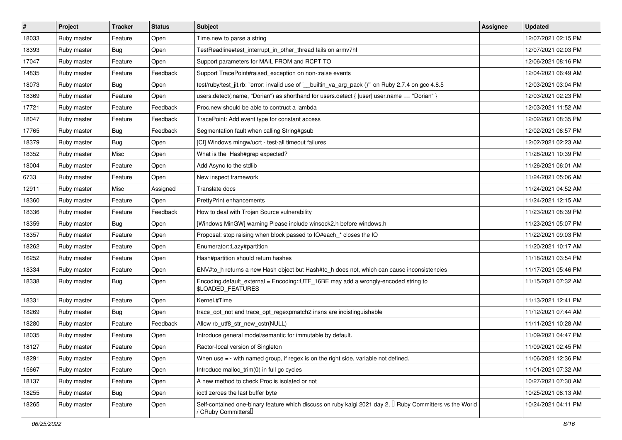| $\vert$ # | Project     | <b>Tracker</b> | <b>Status</b> | Subject                                                                                                                                           | <b>Assignee</b> | <b>Updated</b>      |
|-----------|-------------|----------------|---------------|---------------------------------------------------------------------------------------------------------------------------------------------------|-----------------|---------------------|
| 18033     | Ruby master | Feature        | Open          | Time.new to parse a string                                                                                                                        |                 | 12/07/2021 02:15 PM |
| 18393     | Ruby master | Bug            | Open          | TestReadline#test_interrupt_in_other_thread fails on armv7hl                                                                                      |                 | 12/07/2021 02:03 PM |
| 17047     | Ruby master | Feature        | Open          | Support parameters for MAIL FROM and RCPT TO                                                                                                      |                 | 12/06/2021 08:16 PM |
| 14835     | Ruby master | Feature        | Feedback      | Support TracePoint#raised_exception on non-:raise events                                                                                          |                 | 12/04/2021 06:49 AM |
| 18073     | Ruby master | Bug            | Open          | test/ruby/test_jit.rb: "error: invalid use of '__builtin_va_arg_pack ()" on Ruby 2.7.4 on gcc 4.8.5                                               |                 | 12/03/2021 03:04 PM |
| 18369     | Ruby master | Feature        | Open          | users.detect(:name, "Dorian") as shorthand for users.detect { $ user $ user.name == "Dorian" }                                                    |                 | 12/03/2021 02:23 PM |
| 17721     | Ruby master | Feature        | Feedback      | Proc.new should be able to contruct a lambda                                                                                                      |                 | 12/03/2021 11:52 AM |
| 18047     | Ruby master | Feature        | Feedback      | TracePoint: Add event type for constant access                                                                                                    |                 | 12/02/2021 08:35 PM |
| 17765     | Ruby master | <b>Bug</b>     | Feedback      | Segmentation fault when calling String#gsub                                                                                                       |                 | 12/02/2021 06:57 PM |
| 18379     | Ruby master | Bug            | Open          | [CI] Windows mingw/ucrt - test-all timeout failures                                                                                               |                 | 12/02/2021 02:23 AM |
| 18352     | Ruby master | Misc           | Open          | What is the Hash#grep expected?                                                                                                                   |                 | 11/28/2021 10:39 PM |
| 18004     | Ruby master | Feature        | Open          | Add Async to the stdlib                                                                                                                           |                 | 11/26/2021 06:01 AM |
| 6733      | Ruby master | Feature        | Open          | New inspect framework                                                                                                                             |                 | 11/24/2021 05:06 AM |
| 12911     | Ruby master | Misc           | Assigned      | Translate docs                                                                                                                                    |                 | 11/24/2021 04:52 AM |
| 18360     | Ruby master | Feature        | Open          | <b>PrettyPrint enhancements</b>                                                                                                                   |                 | 11/24/2021 12:15 AM |
| 18336     | Ruby master | Feature        | Feedback      | How to deal with Trojan Source vulnerability                                                                                                      |                 | 11/23/2021 08:39 PM |
| 18359     | Ruby master | Bug            | Open          | [Windows MinGW] warning Please include winsock2.h before windows.h                                                                                |                 | 11/23/2021 05:07 PM |
| 18357     | Ruby master | Feature        | Open          | Proposal: stop raising when block passed to IO#each_* closes the IO                                                                               |                 | 11/22/2021 09:03 PM |
| 18262     | Ruby master | Feature        | Open          | Enumerator::Lazy#partition                                                                                                                        |                 | 11/20/2021 10:17 AM |
| 16252     | Ruby master | Feature        | Open          | Hash#partition should return hashes                                                                                                               |                 | 11/18/2021 03:54 PM |
| 18334     | Ruby master | Feature        | Open          | ENV#to h returns a new Hash object but Hash#to h does not, which can cause inconsistencies                                                        |                 | 11/17/2021 05:46 PM |
| 18338     | Ruby master | <b>Bug</b>     | Open          | Encoding.default_external = Encoding::UTF_16BE may add a wrongly-encoded string to<br>\$LOADED_FEATURES                                           |                 | 11/15/2021 07:32 AM |
| 18331     | Ruby master | Feature        | Open          | Kernel.#Time                                                                                                                                      |                 | 11/13/2021 12:41 PM |
| 18269     | Ruby master | Bug            | Open          | trace_opt_not and trace_opt_regexpmatch2 insns are indistinguishable                                                                              |                 | 11/12/2021 07:44 AM |
| 18280     | Ruby master | Feature        | Feedback      | Allow rb_utf8_str_new_cstr(NULL)                                                                                                                  |                 | 11/11/2021 10:28 AM |
| 18035     | Ruby master | Feature        | Open          | Introduce general model/semantic for immutable by default.                                                                                        |                 | 11/09/2021 04:47 PM |
| 18127     | Ruby master | Feature        | Open          | Ractor-local version of Singleton                                                                                                                 |                 | 11/09/2021 02:45 PM |
| 18291     | Ruby master | Feature        | Open          | When use $=\sim$ with named group, if regex is on the right side, variable not defined.                                                           |                 | 11/06/2021 12:36 PM |
| 15667     | Ruby master | Feature        | Open          | Introduce malloc_trim(0) in full gc cycles                                                                                                        |                 | 11/01/2021 07:32 AM |
| 18137     | Ruby master | Feature        | Open          | A new method to check Proc is isolated or not                                                                                                     |                 | 10/27/2021 07:30 AM |
| 18255     | Ruby master | <b>Bug</b>     | Open          | ioctl zeroes the last buffer byte                                                                                                                 |                 | 10/25/2021 08:13 AM |
| 18265     | Ruby master | Feature        | Open          | Self-contained one-binary feature which discuss on ruby kaigi 2021 day 2, $\Box$ Ruby Committers vs the World<br>/ CRuby Committers <sup>[]</sup> |                 | 10/24/2021 04:11 PM |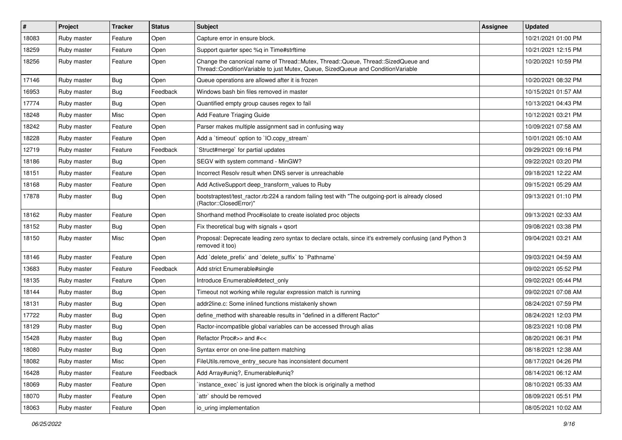| $\sharp$ | Project     | <b>Tracker</b> | <b>Status</b> | <b>Subject</b>                                                                                                                                                        | <b>Assignee</b> | <b>Updated</b>      |
|----------|-------------|----------------|---------------|-----------------------------------------------------------------------------------------------------------------------------------------------------------------------|-----------------|---------------------|
| 18083    | Ruby master | Feature        | Open          | Capture error in ensure block.                                                                                                                                        |                 | 10/21/2021 01:00 PM |
| 18259    | Ruby master | Feature        | Open          | Support quarter spec %q in Time#strftime                                                                                                                              |                 | 10/21/2021 12:15 PM |
| 18256    | Ruby master | Feature        | Open          | Change the canonical name of Thread::Mutex, Thread::Queue, Thread::SizedQueue and<br>Thread::ConditionVariable to just Mutex, Queue, SizedQueue and ConditionVariable |                 | 10/20/2021 10:59 PM |
| 17146    | Ruby master | Bug            | Open          | Queue operations are allowed after it is frozen                                                                                                                       |                 | 10/20/2021 08:32 PM |
| 16953    | Ruby master | <b>Bug</b>     | Feedback      | Windows bash bin files removed in master                                                                                                                              |                 | 10/15/2021 01:57 AM |
| 17774    | Ruby master | Bug            | Open          | Quantified empty group causes regex to fail                                                                                                                           |                 | 10/13/2021 04:43 PM |
| 18248    | Ruby master | Misc           | Open          | Add Feature Triaging Guide                                                                                                                                            |                 | 10/12/2021 03:21 PM |
| 18242    | Ruby master | Feature        | Open          | Parser makes multiple assignment sad in confusing way                                                                                                                 |                 | 10/09/2021 07:58 AM |
| 18228    | Ruby master | Feature        | Open          | Add a 'timeout' option to 'IO.copy_stream'                                                                                                                            |                 | 10/01/2021 05:10 AM |
| 12719    | Ruby master | Feature        | Feedback      | Struct#merge` for partial updates                                                                                                                                     |                 | 09/29/2021 09:16 PM |
| 18186    | Ruby master | <b>Bug</b>     | Open          | SEGV with system command - MinGW?                                                                                                                                     |                 | 09/22/2021 03:20 PM |
| 18151    | Ruby master | Feature        | Open          | Incorrect Resoly result when DNS server is unreachable                                                                                                                |                 | 09/18/2021 12:22 AM |
| 18168    | Ruby master | Feature        | Open          | Add ActiveSupport deep transform values to Ruby                                                                                                                       |                 | 09/15/2021 05:29 AM |
| 17878    | Ruby master | <b>Bug</b>     | Open          | bootstraptest/test_ractor.rb:224 a random failing test with "The outgoing-port is already closed<br>(Ractor::ClosedError)"                                            |                 | 09/13/2021 01:10 PM |
| 18162    | Ruby master | Feature        | Open          | Shorthand method Proc#isolate to create isolated proc objects                                                                                                         |                 | 09/13/2021 02:33 AM |
| 18152    | Ruby master | Bug            | Open          | Fix theoretical bug with signals $+$ qsort                                                                                                                            |                 | 09/08/2021 03:38 PM |
| 18150    | Ruby master | Misc           | Open          | Proposal: Deprecate leading zero syntax to declare octals, since it's extremely confusing (and Python 3<br>removed it too)                                            |                 | 09/04/2021 03:21 AM |
| 18146    | Ruby master | Feature        | Open          | Add 'delete_prefix' and 'delete_suffix' to 'Pathname'                                                                                                                 |                 | 09/03/2021 04:59 AM |
| 13683    | Ruby master | Feature        | Feedback      | Add strict Enumerable#single                                                                                                                                          |                 | 09/02/2021 05:52 PM |
| 18135    | Ruby master | Feature        | Open          | Introduce Enumerable#detect_only                                                                                                                                      |                 | 09/02/2021 05:44 PM |
| 18144    | Ruby master | <b>Bug</b>     | Open          | Timeout not working while regular expression match is running                                                                                                         |                 | 09/02/2021 07:08 AM |
| 18131    | Ruby master | <b>Bug</b>     | Open          | addr2line.c: Some inlined functions mistakenly shown                                                                                                                  |                 | 08/24/2021 07:59 PM |
| 17722    | Ruby master | Bug            | Open          | define_method with shareable results in "defined in a different Ractor"                                                                                               |                 | 08/24/2021 12:03 PM |
| 18129    | Ruby master | <b>Bug</b>     | Open          | Ractor-incompatible global variables can be accessed through alias                                                                                                    |                 | 08/23/2021 10:08 PM |
| 15428    | Ruby master | <b>Bug</b>     | Open          | Refactor Proc#>> and #<<                                                                                                                                              |                 | 08/20/2021 06:31 PM |
| 18080    | Ruby master | Bug            | Open          | Syntax error on one-line pattern matching                                                                                                                             |                 | 08/18/2021 12:38 AM |
| 18082    | Ruby master | Misc           | Open          | FileUtils.remove_entry_secure has inconsistent document                                                                                                               |                 | 08/17/2021 04:26 PM |
| 16428    | Ruby master | Feature        | Feedback      | Add Array#uniq?, Enumerable#uniq?                                                                                                                                     |                 | 08/14/2021 06:12 AM |
| 18069    | Ruby master | Feature        | Open          | instance_exec` is just ignored when the block is originally a method                                                                                                  |                 | 08/10/2021 05:33 AM |
| 18070    | Ruby master | Feature        | Open          | attr` should be removed                                                                                                                                               |                 | 08/09/2021 05:51 PM |
| 18063    | Ruby master | Feature        | Open          | io_uring implementation                                                                                                                                               |                 | 08/05/2021 10:02 AM |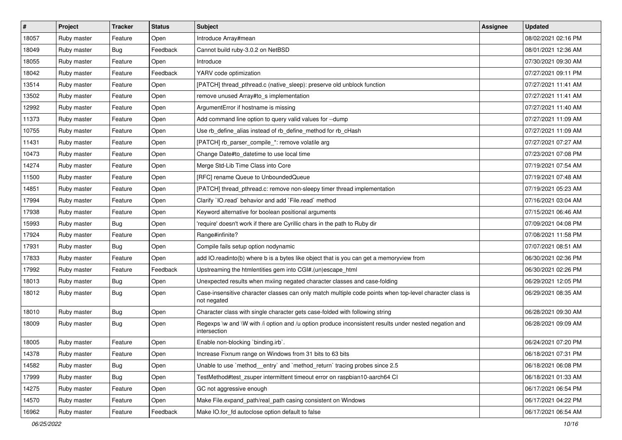| $\sharp$ | Project     | <b>Tracker</b> | <b>Status</b> | <b>Subject</b>                                                                                                          | <b>Assignee</b> | <b>Updated</b>      |
|----------|-------------|----------------|---------------|-------------------------------------------------------------------------------------------------------------------------|-----------------|---------------------|
| 18057    | Ruby master | Feature        | Open          | Introduce Array#mean                                                                                                    |                 | 08/02/2021 02:16 PM |
| 18049    | Ruby master | <b>Bug</b>     | Feedback      | Cannot build ruby-3.0.2 on NetBSD                                                                                       |                 | 08/01/2021 12:36 AM |
| 18055    | Ruby master | Feature        | Open          | Introduce                                                                                                               |                 | 07/30/2021 09:30 AM |
| 18042    | Ruby master | Feature        | Feedback      | YARV code optimization                                                                                                  |                 | 07/27/2021 09:11 PM |
| 13514    | Ruby master | Feature        | Open          | [PATCH] thread_pthread.c (native_sleep): preserve old unblock function                                                  |                 | 07/27/2021 11:41 AM |
| 13502    | Ruby master | Feature        | Open          | remove unused Array#to s implementation                                                                                 |                 | 07/27/2021 11:41 AM |
| 12992    | Ruby master | Feature        | Open          | ArgumentError if hostname is missing                                                                                    |                 | 07/27/2021 11:40 AM |
| 11373    | Ruby master | Feature        | Open          | Add command line option to query valid values for --dump                                                                |                 | 07/27/2021 11:09 AM |
| 10755    | Ruby master | Feature        | Open          | Use rb_define_alias instead of rb_define_method for rb_cHash                                                            |                 | 07/27/2021 11:09 AM |
| 11431    | Ruby master | Feature        | Open          | [PATCH] rb_parser_compile_*: remove volatile arg                                                                        |                 | 07/27/2021 07:27 AM |
| 10473    | Ruby master | Feature        | Open          | Change Date#to_datetime to use local time                                                                               |                 | 07/23/2021 07:08 PM |
| 14274    | Ruby master | Feature        | Open          | Merge Std-Lib Time Class into Core                                                                                      |                 | 07/19/2021 07:54 AM |
| 11500    | Ruby master | Feature        | Open          | [RFC] rename Queue to UnboundedQueue                                                                                    |                 | 07/19/2021 07:48 AM |
| 14851    | Ruby master | Feature        | Open          | [PATCH] thread_pthread.c: remove non-sleepy timer thread implementation                                                 |                 | 07/19/2021 05:23 AM |
| 17994    | Ruby master | Feature        | Open          | Clarify 'IO.read' behavior and add 'File.read' method                                                                   |                 | 07/16/2021 03:04 AM |
| 17938    | Ruby master | Feature        | Open          | Keyword alternative for boolean positional arguments                                                                    |                 | 07/15/2021 06:46 AM |
| 15993    | Ruby master | Bug            | Open          | 'require' doesn't work if there are Cyrillic chars in the path to Ruby dir                                              |                 | 07/09/2021 04:08 PM |
| 17924    | Ruby master | Feature        | Open          | Range#infinite?                                                                                                         |                 | 07/08/2021 11:58 PM |
| 17931    | Ruby master | <b>Bug</b>     | Open          | Compile fails setup option nodynamic                                                                                    |                 | 07/07/2021 08:51 AM |
| 17833    | Ruby master | Feature        | Open          | add IO.readinto(b) where b is a bytes like object that is you can get a memoryview from                                 |                 | 06/30/2021 02:36 PM |
| 17992    | Ruby master | Feature        | Feedback      | Upstreaming the htmlentities gem into CGI#.(un)escape_html                                                              |                 | 06/30/2021 02:26 PM |
| 18013    | Ruby master | <b>Bug</b>     | Open          | Unexpected results when mxiing negated character classes and case-folding                                               |                 | 06/29/2021 12:05 PM |
| 18012    | Ruby master | <b>Bug</b>     | Open          | Case-insensitive character classes can only match multiple code points when top-level character class is<br>not negated |                 | 06/29/2021 08:35 AM |
| 18010    | Ruby master | <b>Bug</b>     | Open          | Character class with single character gets case-folded with following string                                            |                 | 06/28/2021 09:30 AM |
| 18009    | Ruby master | <b>Bug</b>     | Open          | Regexps \w and \W with /i option and /u option produce inconsistent results under nested negation and<br>intersection   |                 | 06/28/2021 09:09 AM |
| 18005    | Ruby master | Feature        | Open          | Enable non-blocking 'binding.irb'.                                                                                      |                 | 06/24/2021 07:20 PM |
| 14378    | Ruby master | Feature        | Open          | Increase Fixnum range on Windows from 31 bits to 63 bits                                                                |                 | 06/18/2021 07:31 PM |
| 14582    | Ruby master | <b>Bug</b>     | Open          | Unable to use `method_entry` and `method_return` tracing probes since 2.5                                               |                 | 06/18/2021 06:08 PM |
| 17999    | Ruby master | i Bug          | Open          | TestMethod#test zsuper intermittent timeout error on raspbian10-aarch64 CI                                              |                 | 06/18/2021 01:33 AM |
| 14275    | Ruby master | Feature        | Open          | GC not aggressive enough                                                                                                |                 | 06/17/2021 06:54 PM |
| 14570    | Ruby master | Feature        | Open          | Make File.expand_path/real_path casing consistent on Windows                                                            |                 | 06/17/2021 04:22 PM |
| 16962    | Ruby master | Feature        | Feedback      | Make IO.for fd autoclose option default to false                                                                        |                 | 06/17/2021 06:54 AM |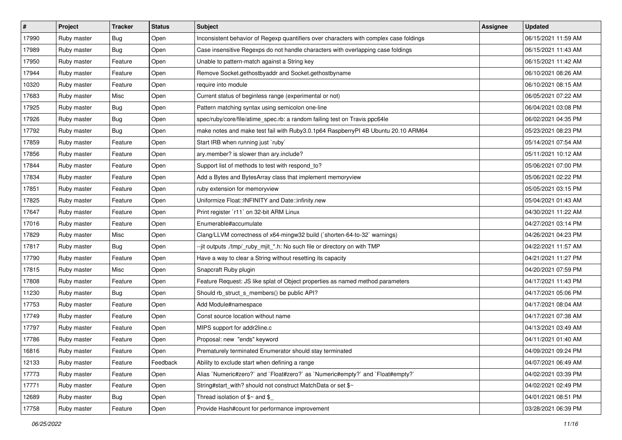| $\vert$ # | Project     | <b>Tracker</b> | <b>Status</b> | <b>Subject</b>                                                                         | <b>Assignee</b> | <b>Updated</b>      |
|-----------|-------------|----------------|---------------|----------------------------------------------------------------------------------------|-----------------|---------------------|
| 17990     | Ruby master | <b>Bug</b>     | Open          | Inconsistent behavior of Regexp quantifiers over characters with complex case foldings |                 | 06/15/2021 11:59 AM |
| 17989     | Ruby master | Bug            | Open          | Case insensitive Regexps do not handle characters with overlapping case foldings       |                 | 06/15/2021 11:43 AM |
| 17950     | Ruby master | Feature        | Open          | Unable to pattern-match against a String key                                           |                 | 06/15/2021 11:42 AM |
| 17944     | Ruby master | Feature        | Open          | Remove Socket.gethostbyaddr and Socket.gethostbyname                                   |                 | 06/10/2021 08:26 AM |
| 10320     | Ruby master | Feature        | Open          | require into module                                                                    |                 | 06/10/2021 08:15 AM |
| 17683     | Ruby master | Misc           | Open          | Current status of beginless range (experimental or not)                                |                 | 06/05/2021 07:22 AM |
| 17925     | Ruby master | Bug            | Open          | Pattern matching syntax using semicolon one-line                                       |                 | 06/04/2021 03:08 PM |
| 17926     | Ruby master | Bug            | Open          | spec/ruby/core/file/atime_spec.rb: a random failing test on Travis ppc64le             |                 | 06/02/2021 04:35 PM |
| 17792     | Ruby master | Bug            | Open          | make notes and make test fail with Ruby3.0.1p64 RaspberryPI 4B Ubuntu 20.10 ARM64      |                 | 05/23/2021 08:23 PM |
| 17859     | Ruby master | Feature        | Open          | Start IRB when running just `ruby`                                                     |                 | 05/14/2021 07:54 AM |
| 17856     | Ruby master | Feature        | Open          | ary.member? is slower than ary.include?                                                |                 | 05/11/2021 10:12 AM |
| 17844     | Ruby master | Feature        | Open          | Support list of methods to test with respond_to?                                       |                 | 05/06/2021 07:00 PM |
| 17834     | Ruby master | Feature        | Open          | Add a Bytes and BytesArray class that implement memoryview                             |                 | 05/06/2021 02:22 PM |
| 17851     | Ruby master | Feature        | Open          | ruby extension for memoryview                                                          |                 | 05/05/2021 03:15 PM |
| 17825     | Ruby master | Feature        | Open          | Uniformize Float::INFINITY and Date::infinity.new                                      |                 | 05/04/2021 01:43 AM |
| 17647     | Ruby master | Feature        | Open          | Print register `r11` on 32-bit ARM Linux                                               |                 | 04/30/2021 11:22 AM |
| 17016     | Ruby master | Feature        | Open          | Enumerable#accumulate                                                                  |                 | 04/27/2021 03:14 PM |
| 17829     | Ruby master | Misc           | Open          | Clang/LLVM correctness of x64-mingw32 build (`shorten-64-to-32` warnings)              |                 | 04/26/2021 04:23 PM |
| 17817     | Ruby master | Bug            | Open          | --jit outputs ./tmp/_ruby_mjit_*.h: No such file or directory on with TMP              |                 | 04/22/2021 11:57 AM |
| 17790     | Ruby master | Feature        | Open          | Have a way to clear a String without resetting its capacity                            |                 | 04/21/2021 11:27 PM |
| 17815     | Ruby master | Misc           | Open          | Snapcraft Ruby plugin                                                                  |                 | 04/20/2021 07:59 PM |
| 17808     | Ruby master | Feature        | Open          | Feature Request: JS like splat of Object properties as named method parameters         |                 | 04/17/2021 11:43 PM |
| 11230     | Ruby master | <b>Bug</b>     | Open          | Should rb_struct_s_members() be public API?                                            |                 | 04/17/2021 05:06 PM |
| 17753     | Ruby master | Feature        | Open          | Add Module#namespace                                                                   |                 | 04/17/2021 08:04 AM |
| 17749     | Ruby master | Feature        | Open          | Const source location without name                                                     |                 | 04/17/2021 07:38 AM |
| 17797     | Ruby master | Feature        | Open          | MIPS support for addr2line.c                                                           |                 | 04/13/2021 03:49 AM |
| 17786     | Ruby master | Feature        | Open          | Proposal: new "ends" keyword                                                           |                 | 04/11/2021 01:40 AM |
| 16816     | Ruby master | Feature        | Open          | Prematurely terminated Enumerator should stay terminated                               |                 | 04/09/2021 09:24 PM |
| 12133     | Ruby master | Feature        | Feedback      | Ability to exclude start when defining a range                                         |                 | 04/07/2021 06:49 AM |
| 17773     | Ruby master | Feature        | Open          | Alias `Numeric#zero?` and `Float#zero?` as `Numeric#empty?` and `Float#empty?`         |                 | 04/02/2021 03:39 PM |
| 17771     | Ruby master | Feature        | Open          | String#start_with? should not construct MatchData or set \$~                           |                 | 04/02/2021 02:49 PM |
| 12689     | Ruby master | <b>Bug</b>     | Open          | Thread isolation of $$~$ and $$$                                                       |                 | 04/01/2021 08:51 PM |
| 17758     | Ruby master | Feature        | Open          | Provide Hash#count for performance improvement                                         |                 | 03/28/2021 06:39 PM |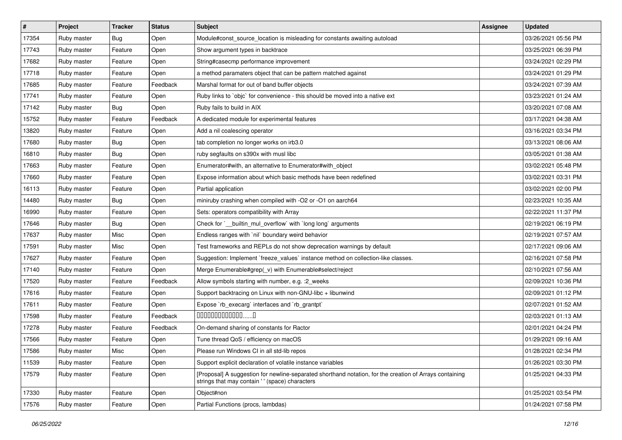| $\vert$ # | Project     | <b>Tracker</b> | <b>Status</b> | <b>Subject</b>                                                                                                                                            | <b>Assignee</b> | <b>Updated</b>      |
|-----------|-------------|----------------|---------------|-----------------------------------------------------------------------------------------------------------------------------------------------------------|-----------------|---------------------|
| 17354     | Ruby master | <b>Bug</b>     | Open          | Module#const_source_location is misleading for constants awaiting autoload                                                                                |                 | 03/26/2021 05:56 PM |
| 17743     | Ruby master | Feature        | Open          | Show argument types in backtrace                                                                                                                          |                 | 03/25/2021 06:39 PM |
| 17682     | Ruby master | Feature        | Open          | String#casecmp performance improvement                                                                                                                    |                 | 03/24/2021 02:29 PM |
| 17718     | Ruby master | Feature        | Open          | a method paramaters object that can be pattern matched against                                                                                            |                 | 03/24/2021 01:29 PM |
| 17685     | Ruby master | Feature        | Feedback      | Marshal format for out of band buffer objects                                                                                                             |                 | 03/24/2021 07:39 AM |
| 17741     | Ruby master | Feature        | Open          | Ruby links to `objc` for convenience - this should be moved into a native ext                                                                             |                 | 03/23/2021 01:24 AM |
| 17142     | Ruby master | Bug            | Open          | Ruby fails to build in AIX                                                                                                                                |                 | 03/20/2021 07:08 AM |
| 15752     | Ruby master | Feature        | Feedback      | A dedicated module for experimental features                                                                                                              |                 | 03/17/2021 04:38 AM |
| 13820     | Ruby master | Feature        | Open          | Add a nil coalescing operator                                                                                                                             |                 | 03/16/2021 03:34 PM |
| 17680     | Ruby master | <b>Bug</b>     | Open          | tab completion no longer works on irb3.0                                                                                                                  |                 | 03/13/2021 08:06 AM |
| 16810     | Ruby master | Bug            | Open          | ruby segfaults on s390x with musl libc                                                                                                                    |                 | 03/05/2021 01:38 AM |
| 17663     | Ruby master | Feature        | Open          | Enumerator#with, an alternative to Enumerator#with object                                                                                                 |                 | 03/02/2021 05:48 PM |
| 17660     | Ruby master | Feature        | Open          | Expose information about which basic methods have been redefined                                                                                          |                 | 03/02/2021 03:31 PM |
| 16113     | Ruby master | Feature        | Open          | Partial application                                                                                                                                       |                 | 03/02/2021 02:00 PM |
| 14480     | Ruby master | <b>Bug</b>     | Open          | miniruby crashing when compiled with -O2 or -O1 on aarch64                                                                                                |                 | 02/23/2021 10:35 AM |
| 16990     | Ruby master | Feature        | Open          | Sets: operators compatibility with Array                                                                                                                  |                 | 02/22/2021 11:37 PM |
| 17646     | Ruby master | Bug            | Open          | Check for `__builtin_mul_overflow` with `long long` arguments                                                                                             |                 | 02/19/2021 06:19 PM |
| 17637     | Ruby master | Misc           | Open          | Endless ranges with 'nil' boundary weird behavior                                                                                                         |                 | 02/19/2021 07:57 AM |
| 17591     | Ruby master | Misc           | Open          | Test frameworks and REPLs do not show deprecation warnings by default                                                                                     |                 | 02/17/2021 09:06 AM |
| 17627     | Ruby master | Feature        | Open          | Suggestion: Implement `freeze_values` instance method on collection-like classes.                                                                         |                 | 02/16/2021 07:58 PM |
| 17140     | Ruby master | Feature        | Open          | Merge Enumerable#grep(_v) with Enumerable#select/reject                                                                                                   |                 | 02/10/2021 07:56 AM |
| 17520     | Ruby master | Feature        | Feedback      | Allow symbols starting with number, e.g. : 2_weeks                                                                                                        |                 | 02/09/2021 10:36 PM |
| 17616     | Ruby master | Feature        | Open          | Support backtracing on Linux with non-GNU-libc + libunwind                                                                                                |                 | 02/09/2021 01:12 PM |
| 17611     | Ruby master | Feature        | Open          | Expose `rb_execarg` interfaces and `rb_grantpt`                                                                                                           |                 | 02/07/2021 01:52 AM |
| 17598     | Ruby master | Feature        | Feedback      | $0000000000000010$                                                                                                                                        |                 | 02/03/2021 01:13 AM |
| 17278     | Ruby master | Feature        | Feedback      | On-demand sharing of constants for Ractor                                                                                                                 |                 | 02/01/2021 04:24 PM |
| 17566     | Ruby master | Feature        | Open          | Tune thread QoS / efficiency on macOS                                                                                                                     |                 | 01/29/2021 09:16 AM |
| 17586     | Ruby master | Misc           | Open          | Please run Windows CI in all std-lib repos                                                                                                                |                 | 01/28/2021 02:34 PM |
| 11539     | Ruby master | Feature        | Open          | Support explicit declaration of volatile instance variables                                                                                               |                 | 01/26/2021 03:30 PM |
| 17579     | Ruby master | Feature        | Open          | [Proposal] A suggestion for newline-separated shorthand notation, for the creation of Arrays containing<br>strings that may contain '' (space) characters |                 | 01/25/2021 04:33 PM |
| 17330     | Ruby master | Feature        | Open          | Object#non                                                                                                                                                |                 | 01/25/2021 03:54 PM |
| 17576     | Ruby master | Feature        | Open          | Partial Functions (procs, lambdas)                                                                                                                        |                 | 01/24/2021 07:58 PM |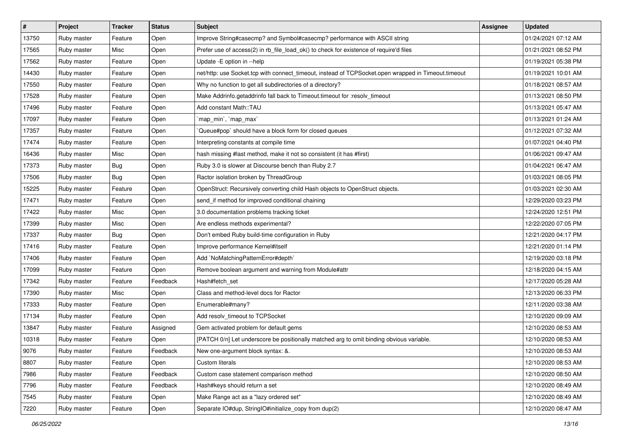| $\vert$ # | Project     | <b>Tracker</b> | <b>Status</b> | Subject                                                                                             | <b>Assignee</b> | <b>Updated</b>      |
|-----------|-------------|----------------|---------------|-----------------------------------------------------------------------------------------------------|-----------------|---------------------|
| 13750     | Ruby master | Feature        | Open          | Improve String#casecmp? and Symbol#casecmp? performance with ASCII string                           |                 | 01/24/2021 07:12 AM |
| 17565     | Ruby master | Misc           | Open          | Prefer use of access(2) in rb_file_load_ok() to check for existence of require'd files              |                 | 01/21/2021 08:52 PM |
| 17562     | Ruby master | Feature        | Open          | Update -E option in --help                                                                          |                 | 01/19/2021 05:38 PM |
| 14430     | Ruby master | Feature        | Open          | net/http: use Socket.tcp with connect_timeout, instead of TCPSocket.open wrapped in Timeout.timeout |                 | 01/19/2021 10:01 AM |
| 17550     | Ruby master | Feature        | Open          | Why no function to get all subdirectories of a directory?                                           |                 | 01/18/2021 08:57 AM |
| 17528     | Ruby master | Feature        | Open          | Make Addrinfo.getaddrinfo fall back to Timeout.timeout for :resolv_timeout                          |                 | 01/13/2021 08:50 PM |
| 17496     | Ruby master | Feature        | Open          | Add constant Math::TAU                                                                              |                 | 01/13/2021 05:47 AM |
| 17097     | Ruby master | Feature        | Open          | 'map_min', 'map_max'                                                                                |                 | 01/13/2021 01:24 AM |
| 17357     | Ruby master | Feature        | Open          | Queue#pop` should have a block form for closed queues                                               |                 | 01/12/2021 07:32 AM |
| 17474     | Ruby master | Feature        | Open          | Interpreting constants at compile time                                                              |                 | 01/07/2021 04:40 PM |
| 16436     | Ruby master | Misc           | Open          | hash missing #last method, make it not so consistent (it has #first)                                |                 | 01/06/2021 09:47 AM |
| 17373     | Ruby master | Bug            | Open          | Ruby 3.0 is slower at Discourse bench than Ruby 2.7                                                 |                 | 01/04/2021 06:47 AM |
| 17506     | Ruby master | <b>Bug</b>     | Open          | Ractor isolation broken by ThreadGroup                                                              |                 | 01/03/2021 08:05 PM |
| 15225     | Ruby master | Feature        | Open          | OpenStruct: Recursively converting child Hash objects to OpenStruct objects.                        |                 | 01/03/2021 02:30 AM |
| 17471     | Ruby master | Feature        | Open          | send_if method for improved conditional chaining                                                    |                 | 12/29/2020 03:23 PM |
| 17422     | Ruby master | Misc           | Open          | 3.0 documentation problems tracking ticket                                                          |                 | 12/24/2020 12:51 PM |
| 17399     | Ruby master | Misc           | Open          | Are endless methods experimental?                                                                   |                 | 12/22/2020 07:05 PM |
| 17337     | Ruby master | <b>Bug</b>     | Open          | Don't embed Ruby build-time configuration in Ruby                                                   |                 | 12/21/2020 04:17 PM |
| 17416     | Ruby master | Feature        | Open          | Improve performance Kernel#itself                                                                   |                 | 12/21/2020 01:14 PM |
| 17406     | Ruby master | Feature        | Open          | Add `NoMatchingPatternError#depth`                                                                  |                 | 12/19/2020 03:18 PM |
| 17099     | Ruby master | Feature        | Open          | Remove boolean argument and warning from Module#attr                                                |                 | 12/18/2020 04:15 AM |
| 17342     | Ruby master | Feature        | Feedback      | Hash#fetch set                                                                                      |                 | 12/17/2020 05:28 AM |
| 17390     | Ruby master | Misc           | Open          | Class and method-level docs for Ractor                                                              |                 | 12/13/2020 06:33 PM |
| 17333     | Ruby master | Feature        | Open          | Enumerable#many?                                                                                    |                 | 12/11/2020 03:38 AM |
| 17134     | Ruby master | Feature        | Open          | Add resolv_timeout to TCPSocket                                                                     |                 | 12/10/2020 09:09 AM |
| 13847     | Ruby master | Feature        | Assigned      | Gem activated problem for default gems                                                              |                 | 12/10/2020 08:53 AM |
| 10318     | Ruby master | Feature        | Open          | [PATCH 0/n] Let underscore be positionally matched arg to omit binding obvious variable.            |                 | 12/10/2020 08:53 AM |
| 9076      | Ruby master | Feature        | Feedback      | New one-argument block syntax: &.                                                                   |                 | 12/10/2020 08:53 AM |
| 8807      | Ruby master | Feature        | Open          | Custom literals                                                                                     |                 | 12/10/2020 08:53 AM |
| 7986      | Ruby master | Feature        | Feedback      | Custom case statement comparison method                                                             |                 | 12/10/2020 08:50 AM |
| 7796      | Ruby master | Feature        | Feedback      | Hash#keys should return a set                                                                       |                 | 12/10/2020 08:49 AM |
| 7545      | Ruby master | Feature        | Open          | Make Range act as a "lazy ordered set"                                                              |                 | 12/10/2020 08:49 AM |
| 7220      | Ruby master | Feature        | Open          | Separate IO#dup, StringIO#initialize_copy from dup(2)                                               |                 | 12/10/2020 08:47 AM |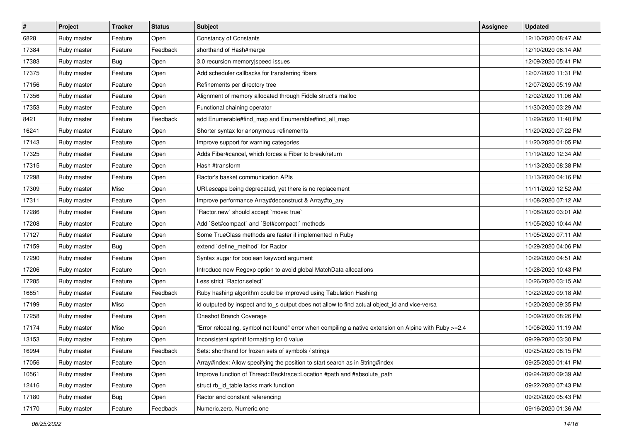| $\vert$ # | Project     | <b>Tracker</b> | <b>Status</b> | <b>Subject</b>                                                                                        | <b>Assignee</b> | <b>Updated</b>      |
|-----------|-------------|----------------|---------------|-------------------------------------------------------------------------------------------------------|-----------------|---------------------|
| 6828      | Ruby master | Feature        | Open          | <b>Constancy of Constants</b>                                                                         |                 | 12/10/2020 08:47 AM |
| 17384     | Ruby master | Feature        | Feedback      | shorthand of Hash#merge                                                                               |                 | 12/10/2020 06:14 AM |
| 17383     | Ruby master | Bug            | Open          | 3.0 recursion memory speed issues                                                                     |                 | 12/09/2020 05:41 PM |
| 17375     | Ruby master | Feature        | Open          | Add scheduler callbacks for transferring fibers                                                       |                 | 12/07/2020 11:31 PM |
| 17156     | Ruby master | Feature        | Open          | Refinements per directory tree                                                                        |                 | 12/07/2020 05:19 AM |
| 17356     | Ruby master | Feature        | Open          | Alignment of memory allocated through Fiddle struct's malloc                                          |                 | 12/02/2020 11:06 AM |
| 17353     | Ruby master | Feature        | Open          | Functional chaining operator                                                                          |                 | 11/30/2020 03:29 AM |
| 8421      | Ruby master | Feature        | Feedback      | add Enumerable#find map and Enumerable#find all map                                                   |                 | 11/29/2020 11:40 PM |
| 16241     | Ruby master | Feature        | Open          | Shorter syntax for anonymous refinements                                                              |                 | 11/20/2020 07:22 PM |
| 17143     | Ruby master | Feature        | Open          | Improve support for warning categories                                                                |                 | 11/20/2020 01:05 PM |
| 17325     | Ruby master | Feature        | Open          | Adds Fiber#cancel, which forces a Fiber to break/return                                               |                 | 11/19/2020 12:34 AM |
| 17315     | Ruby master | Feature        | Open          | Hash #transform                                                                                       |                 | 11/13/2020 08:38 PM |
| 17298     | Ruby master | Feature        | Open          | Ractor's basket communication APIs                                                                    |                 | 11/13/2020 04:16 PM |
| 17309     | Ruby master | Misc           | Open          | URI.escape being deprecated, yet there is no replacement                                              |                 | 11/11/2020 12:52 AM |
| 17311     | Ruby master | Feature        | Open          | Improve performance Array#deconstruct & Array#to_ary                                                  |                 | 11/08/2020 07:12 AM |
| 17286     | Ruby master | Feature        | Open          | Ractor.new' should accept 'move: true'                                                                |                 | 11/08/2020 03:01 AM |
| 17208     | Ruby master | Feature        | Open          | Add `Set#compact` and `Set#compact!` methods                                                          |                 | 11/05/2020 10:44 AM |
| 17127     | Ruby master | Feature        | Open          | Some TrueClass methods are faster if implemented in Ruby                                              |                 | 11/05/2020 07:11 AM |
| 17159     | Ruby master | Bug            | Open          | extend `define_method` for Ractor                                                                     |                 | 10/29/2020 04:06 PM |
| 17290     | Ruby master | Feature        | Open          | Syntax sugar for boolean keyword argument                                                             |                 | 10/29/2020 04:51 AM |
| 17206     | Ruby master | Feature        | Open          | Introduce new Regexp option to avoid global MatchData allocations                                     |                 | 10/28/2020 10:43 PM |
| 17285     | Ruby master | Feature        | Open          | Less strict `Ractor.select`                                                                           |                 | 10/26/2020 03:15 AM |
| 16851     | Ruby master | Feature        | Feedback      | Ruby hashing algorithm could be improved using Tabulation Hashing                                     |                 | 10/22/2020 09:18 AM |
| 17199     | Ruby master | Misc           | Open          | id outputed by inspect and to_s output does not allow to find actual object_id and vice-versa         |                 | 10/20/2020 09:35 PM |
| 17258     | Ruby master | Feature        | Open          | Oneshot Branch Coverage                                                                               |                 | 10/09/2020 08:26 PM |
| 17174     | Ruby master | Misc           | Open          | Error relocating, symbol not found" error when compiling a native extension on Alpine with Ruby >=2.4 |                 | 10/06/2020 11:19 AM |
| 13153     | Ruby master | Feature        | Open          | Inconsistent sprintf formatting for 0 value                                                           |                 | 09/29/2020 03:30 PM |
| 16994     | Ruby master | Feature        | Feedback      | Sets: shorthand for frozen sets of symbols / strings                                                  |                 | 09/25/2020 08:15 PM |
| 17056     | Ruby master | Feature        | Open          | Array#index: Allow specifying the position to start search as in String#index                         |                 | 09/25/2020 01:41 PM |
| 10561     | Ruby master | Feature        | Open          | Improve function of Thread::Backtrace::Location #path and #absolute_path                              |                 | 09/24/2020 09:39 AM |
| 12416     | Ruby master | Feature        | Open          | struct rb_id_table lacks mark function                                                                |                 | 09/22/2020 07:43 PM |
| 17180     | Ruby master | <b>Bug</b>     | Open          | Ractor and constant referencing                                                                       |                 | 09/20/2020 05:43 PM |
| 17170     | Ruby master | Feature        | Feedback      | Numeric.zero, Numeric.one                                                                             |                 | 09/16/2020 01:36 AM |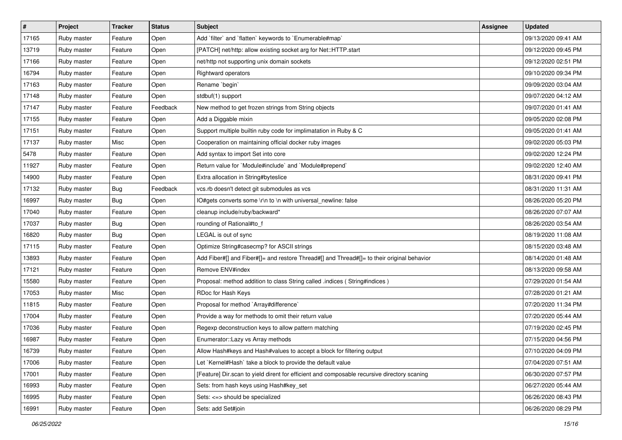| $\sharp$ | Project     | <b>Tracker</b> | <b>Status</b> | <b>Subject</b>                                                                              | Assignee | <b>Updated</b>      |
|----------|-------------|----------------|---------------|---------------------------------------------------------------------------------------------|----------|---------------------|
| 17165    | Ruby master | Feature        | Open          | Add `filter` and `flatten` keywords to `Enumerable#map`                                     |          | 09/13/2020 09:41 AM |
| 13719    | Ruby master | Feature        | Open          | [PATCH] net/http: allow existing socket arg for Net::HTTP.start                             |          | 09/12/2020 09:45 PM |
| 17166    | Ruby master | Feature        | Open          | net/http not supporting unix domain sockets                                                 |          | 09/12/2020 02:51 PM |
| 16794    | Ruby master | Feature        | Open          | Rightward operators                                                                         |          | 09/10/2020 09:34 PM |
| 17163    | Ruby master | Feature        | Open          | Rename `begin`                                                                              |          | 09/09/2020 03:04 AM |
| 17148    | Ruby master | Feature        | Open          | stdbuf(1) support                                                                           |          | 09/07/2020 04:12 AM |
| 17147    | Ruby master | Feature        | Feedback      | New method to get frozen strings from String objects                                        |          | 09/07/2020 01:41 AM |
| 17155    | Ruby master | Feature        | Open          | Add a Diggable mixin                                                                        |          | 09/05/2020 02:08 PM |
| 17151    | Ruby master | Feature        | Open          | Support multiple builtin ruby code for implimatation in Ruby & C                            |          | 09/05/2020 01:41 AM |
| 17137    | Ruby master | Misc           | Open          | Cooperation on maintaining official docker ruby images                                      |          | 09/02/2020 05:03 PM |
| 5478     | Ruby master | Feature        | Open          | Add syntax to import Set into core                                                          |          | 09/02/2020 12:24 PM |
| 11927    | Ruby master | Feature        | Open          | Return value for `Module#include` and `Module#prepend`                                      |          | 09/02/2020 12:40 AM |
| 14900    | Ruby master | Feature        | Open          | Extra allocation in String#byteslice                                                        |          | 08/31/2020 09:41 PM |
| 17132    | Ruby master | Bug            | Feedback      | vcs.rb doesn't detect git submodules as vcs                                                 |          | 08/31/2020 11:31 AM |
| 16997    | Ruby master | Bug            | Open          | IO#gets converts some \r\n to \n with universal newline: false                              |          | 08/26/2020 05:20 PM |
| 17040    | Ruby master | Feature        | Open          | cleanup include/ruby/backward*                                                              |          | 08/26/2020 07:07 AM |
| 17037    | Ruby master | Bug            | Open          | rounding of Rational#to_f                                                                   |          | 08/26/2020 03:54 AM |
| 16820    | Ruby master | <b>Bug</b>     | Open          | LEGAL is out of sync                                                                        |          | 08/19/2020 11:08 AM |
| 17115    | Ruby master | Feature        | Open          | Optimize String#casecmp? for ASCII strings                                                  |          | 08/15/2020 03:48 AM |
| 13893    | Ruby master | Feature        | Open          | Add Fiber#[] and Fiber#[]= and restore Thread#[] and Thread#[]= to their original behavior  |          | 08/14/2020 01:48 AM |
| 17121    | Ruby master | Feature        | Open          | Remove ENV#index                                                                            |          | 08/13/2020 09:58 AM |
| 15580    | Ruby master | Feature        | Open          | Proposal: method addition to class String called .indices (String#indices)                  |          | 07/29/2020 01:54 AM |
| 17053    | Ruby master | Misc           | Open          | RDoc for Hash Keys                                                                          |          | 07/28/2020 01:21 AM |
| 11815    | Ruby master | Feature        | Open          | Proposal for method `Array#difference`                                                      |          | 07/20/2020 11:34 PM |
| 17004    | Ruby master | Feature        | Open          | Provide a way for methods to omit their return value                                        |          | 07/20/2020 05:44 AM |
| 17036    | Ruby master | Feature        | Open          | Regexp deconstruction keys to allow pattern matching                                        |          | 07/19/2020 02:45 PM |
| 16987    | Ruby master | Feature        | Open          | Enumerator::Lazy vs Array methods                                                           |          | 07/15/2020 04:56 PM |
| 16739    | Ruby master | Feature        | Open          | Allow Hash#keys and Hash#values to accept a block for filtering output                      |          | 07/10/2020 04:09 PM |
| 17006    | Ruby master | Feature        | Open          | Let `Kernel#Hash` take a block to provide the default value                                 |          | 07/04/2020 07:51 AM |
| 17001    | Ruby master | Feature        | Open          | [Feature] Dir.scan to yield dirent for efficient and composable recursive directory scaning |          | 06/30/2020 07:57 PM |
| 16993    | Ruby master | Feature        | Open          | Sets: from hash keys using Hash#key_set                                                     |          | 06/27/2020 05:44 AM |
| 16995    | Ruby master | Feature        | Open          | Sets: <= > should be specialized                                                            |          | 06/26/2020 08:43 PM |
| 16991    | Ruby master | Feature        | Open          | Sets: add Set#join                                                                          |          | 06/26/2020 08:29 PM |